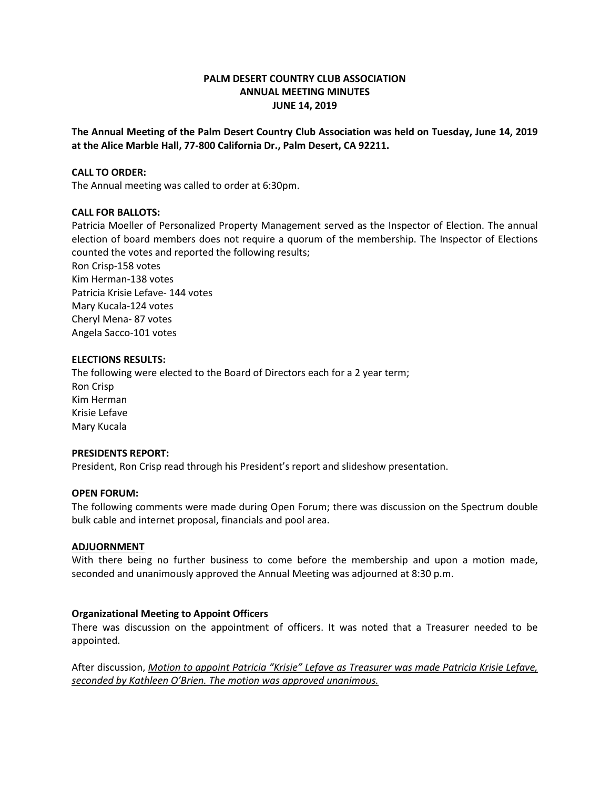## **PALM DESERT COUNTRY CLUB ASSOCIATION ANNUAL MEETING MINUTES JUNE 14, 2019**

**The Annual Meeting of the Palm Desert Country Club Association was held on Tuesday, June 14, 2019 at the Alice Marble Hall, 77-800 California Dr., Palm Desert, CA 92211.**

#### **CALL TO ORDER:**

The Annual meeting was called to order at 6:30pm.

#### **CALL FOR BALLOTS:**

Patricia Moeller of Personalized Property Management served as the Inspector of Election. The annual election of board members does not require a quorum of the membership. The Inspector of Elections counted the votes and reported the following results;

Ron Crisp-158 votes Kim Herman-138 votes Patricia Krisie Lefave- 144 votes Mary Kucala-124 votes Cheryl Mena- 87 votes Angela Sacco-101 votes

#### **ELECTIONS RESULTS:**

The following were elected to the Board of Directors each for a 2 year term; Ron Crisp Kim Herman Krisie Lefave Mary Kucala

#### **PRESIDENTS REPORT:**

President, Ron Crisp read through his President's report and slideshow presentation.

### **OPEN FORUM:**

The following comments were made during Open Forum; there was discussion on the Spectrum double bulk cable and internet proposal, financials and pool area.

#### **ADJUORNMENT**

With there being no further business to come before the membership and upon a motion made, seconded and unanimously approved the Annual Meeting was adjourned at 8:30 p.m.

## **Organizational Meeting to Appoint Officers**

There was discussion on the appointment of officers. It was noted that a Treasurer needed to be appointed.

After discussion, *Motion to appoint Patricia "Krisie" Lefave as Treasurer was made Patricia Krisie Lefave, seconded by Kathleen O'Brien. The motion was approved unanimous.*